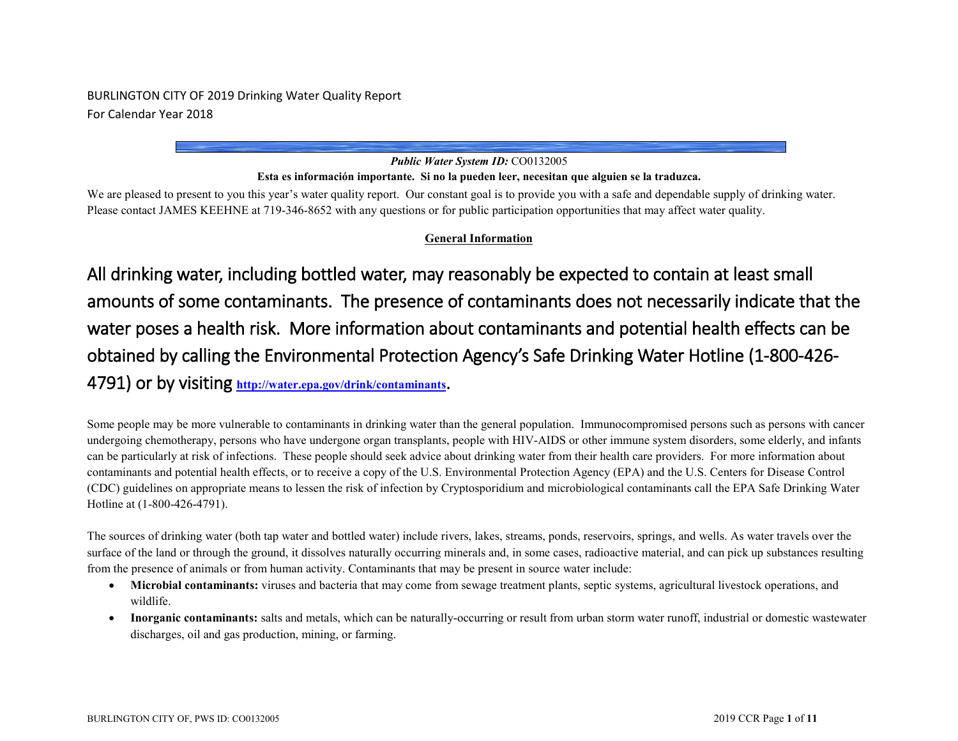# BURLINGTON CITY OF 2019 Drinking Water Quality Report For Calendar Year 2018

# *Public Water System ID:* CO0132005

#### **Esta es información importante. Si no la pueden leer, necesitan que alguien se la traduzca.**

We are pleased to present to you this year's water quality report. Our constant goal is to provide you with a safe and dependable supply of drinking water. Please contact JAMES KEEHNE at 719-346-8652 with any questions or for public participation opportunities that may affect water quality.

# **General Information**

All drinking water, including bottled water, may reasonably be expected to contain at least small amounts of some contaminants. The presence of contaminants does not necessarily indicate that the water poses a health risk. More information about contaminants and potential health effects can be obtained by calling the Environmental Protection Agency's Safe Drinking Water Hotline (1-800-426- 4791) or by visiting **<http://water.epa.gov/drink/contaminants>**.

Some people may be more vulnerable to contaminants in drinking water than the general population. Immunocompromised persons such as persons with cancer undergoing chemotherapy, persons who have undergone organ transplants, people with HIV-AIDS or other immune system disorders, some elderly, and infants can be particularly at risk of infections. These people should seek advice about drinking water from their health care providers. For more information about contaminants and potential health effects, or to receive a copy of the U.S. Environmental Protection Agency (EPA) and the U.S. Centers for Disease Control (CDC) guidelines on appropriate means to lessen the risk of infection by Cryptosporidium and microbiological contaminants call the EPA Safe Drinking Water Hotline at (1-800-426-4791).

The sources of drinking water (both tap water and bottled water) include rivers, lakes, streams, ponds, reservoirs, springs, and wells. As water travels over the surface of the land or through the ground, it dissolves naturally occurring minerals and, in some cases, radioactive material, and can pick up substances resulting from the presence of animals or from human activity. Contaminants that may be present in source water include:

- Microbial contaminants: viruses and bacteria that may come from sewage treatment plants, septic systems, agricultural livestock operations, and wildlife.
- **Inorganic contaminants:** salts and metals, which can be naturally-occurring or result from urban storm water runoff, industrial or domestic wastewater discharges, oil and gas production, mining, or farming.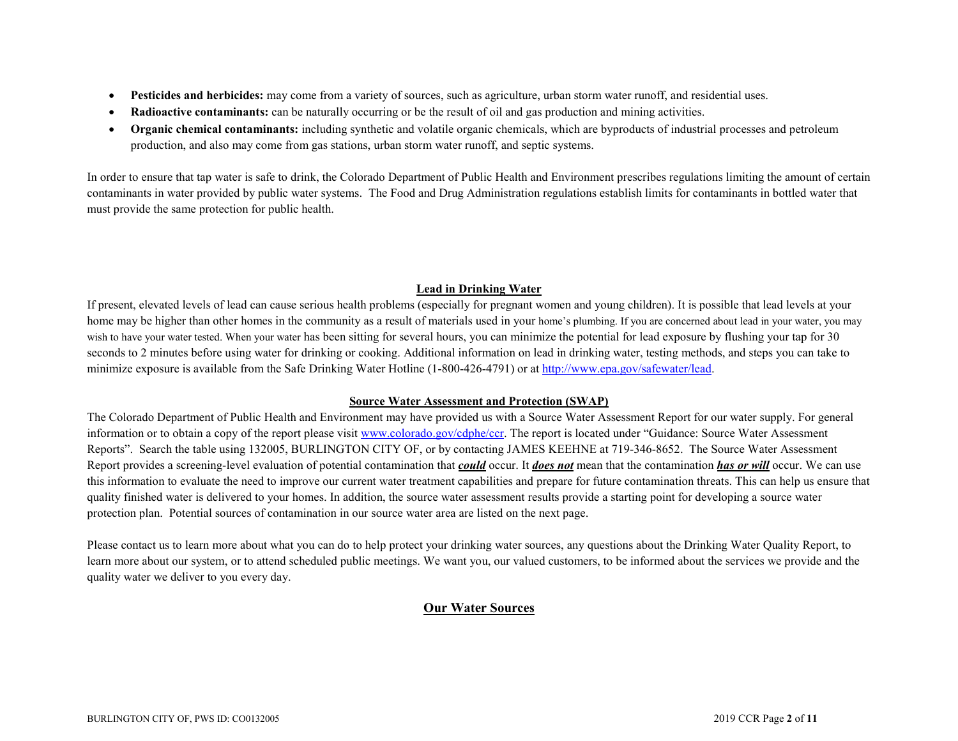- **Pesticides and herbicides:** may come from a variety of sources, such as agriculture, urban storm water runoff, and residential uses.
- **Radioactive contaminants:** can be naturally occurring or be the result of oil and gas production and mining activities.
- **Organic chemical contaminants:** including synthetic and volatile organic chemicals, which are byproducts of industrial processes and petroleum production, and also may come from gas stations, urban storm water runoff, and septic systems.

In order to ensure that tap water is safe to drink, the Colorado Department of Public Health and Environment prescribes regulations limiting the amount of certain contaminants in water provided by public water systems. The Food and Drug Administration regulations establish limits for contaminants in bottled water that must provide the same protection for public health.

# **Lead in Drinking Water**

If present, elevated levels of lead can cause serious health problems (especially for pregnant women and young children). It is possible that lead levels at your home may be higher than other homes in the community as a result of materials used in your home's plumbing. If you are concerned about lead in your water, you may wish to have your water tested. When your water has been sitting for several hours, you can minimize the potential for lead exposure by flushing your tap for 30 seconds to 2 minutes before using water for drinking or cooking. Additional information on lead in drinking water, testing methods, and steps you can take to minimize exposure is available from the Safe Drinking Water Hotline (1-800-426-4791) or at [http://www.epa.gov/safewater/lead.](http://www.epa.gov/safewater/lead)

### **Source Water Assessment and Protection (SWAP)**

The Colorado Department of Public Health and Environment may have provided us with a Source Water Assessment Report for our water supply. For general information or to obtain a copy of the report please visit [www.colorado.gov/cdphe/ccr.](https://www.colorado.gov/cdphe/ccr) The report is located under "Guidance: Source Water Assessment Reports". Search the table using 132005, BURLINGTON CITY OF, or by contacting JAMES KEEHNE at 719-346-8652. The Source Water Assessment Report provides a screening-level evaluation of potential contamination that *could* occur. It *does not* mean that the contamination *has or will* occur. We can use this information to evaluate the need to improve our current water treatment capabilities and prepare for future contamination threats. This can help us ensure that quality finished water is delivered to your homes. In addition, the source water assessment results provide a starting point for developing a source water protection plan. Potential sources of contamination in our source water area are listed on the next page.

Please contact us to learn more about what you can do to help protect your drinking water sources, any questions about the Drinking Water Quality Report, to learn more about our system, or to attend scheduled public meetings. We want you, our valued customers, to be informed about the services we provide and the quality water we deliver to you every day.

# **Our Water Sources**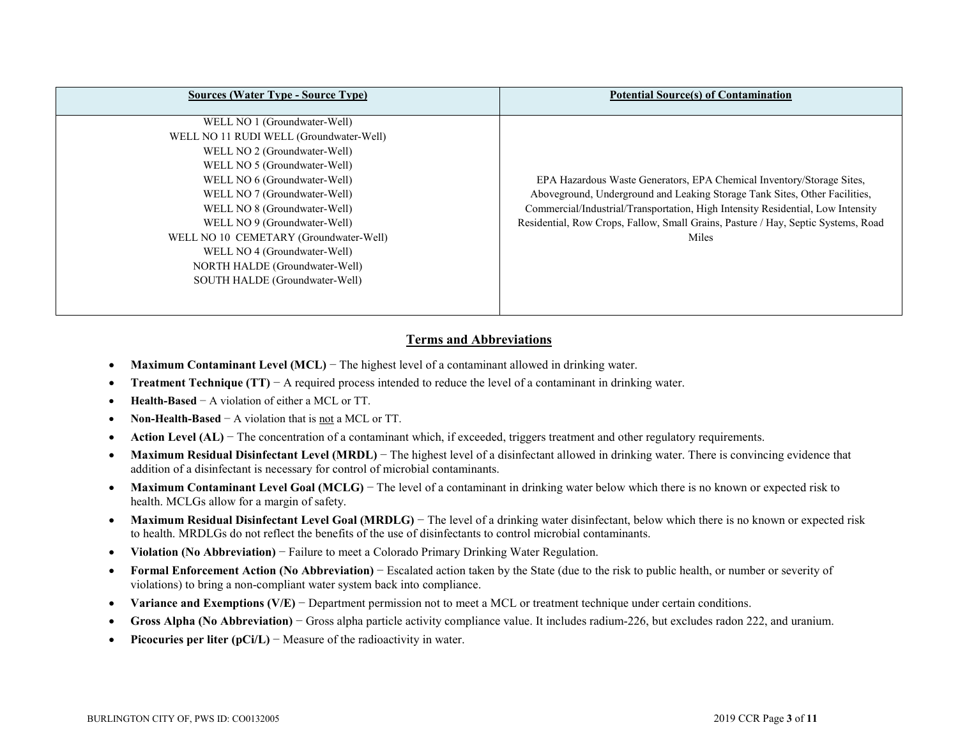| <b>Sources (Water Type - Source Type)</b> | <b>Potential Source(s) of Contamination</b>                                       |
|-------------------------------------------|-----------------------------------------------------------------------------------|
| WELL NO 1 (Groundwater-Well)              |                                                                                   |
| WELL NO 11 RUDI WELL (Groundwater-Well)   |                                                                                   |
| WELL NO 2 (Groundwater-Well)              |                                                                                   |
| WELL NO 5 (Groundwater-Well)              |                                                                                   |
| WELL NO 6 (Groundwater-Well)              | EPA Hazardous Waste Generators, EPA Chemical Inventory/Storage Sites,             |
| WELL NO 7 (Groundwater-Well)              | Aboveground, Underground and Leaking Storage Tank Sites, Other Facilities,        |
| WELL NO 8 (Groundwater-Well)              | Commercial/Industrial/Transportation, High Intensity Residential, Low Intensity   |
| WELL NO 9 (Groundwater-Well)              | Residential, Row Crops, Fallow, Small Grains, Pasture / Hay, Septic Systems, Road |
| WELL NO 10 CEMETARY (Groundwater-Well)    | Miles                                                                             |
| WELL NO 4 (Groundwater-Well)              |                                                                                   |
| NORTH HALDE (Groundwater-Well)            |                                                                                   |
| SOUTH HALDE (Groundwater-Well)            |                                                                                   |
|                                           |                                                                                   |

# **Terms and Abbreviations**

- **Maximum Contaminant Level (MCL)** − The highest level of a contaminant allowed in drinking water.
- **Treatment Technique (TT)** − A required process intended to reduce the level of a contaminant in drinking water.
- **Health-Based** − A violation of either a MCL or TT.
- **Non-Health-Based** − A violation that is not a MCL or TT.
- **Action Level (AL)** The concentration of a contaminant which, if exceeded, triggers treatment and other regulatory requirements.
- **Maximum Residual Disinfectant Level (MRDL)** − The highest level of a disinfectant allowed in drinking water. There is convincing evidence that addition of a disinfectant is necessary for control of microbial contaminants.
- **Maximum Contaminant Level Goal (MCLG)** − The level of a contaminant in drinking water below which there is no known or expected risk to health. MCLGs allow for a margin of safety.
- Maximum Residual Disinfectant Level Goal (MRDLG) The level of a drinking water disinfectant, below which there is no known or expected risk to health. MRDLGs do not reflect the benefits of the use of disinfectants to control microbial contaminants.
- **Violation (No Abbreviation)** − Failure to meet a Colorado Primary Drinking Water Regulation.
- **Formal Enforcement Action (No Abbreviation)** − Escalated action taken by the State (due to the risk to public health, or number or severity of violations) to bring a non-compliant water system back into compliance.
- **Variance and Exemptions (V/E)** − Department permission not to meet a MCL or treatment technique under certain conditions.
- **Gross Alpha (No Abbreviation)** − Gross alpha particle activity compliance value. It includes radium-226, but excludes radon 222, and uranium.
- **Picocuries per liter (pCi/L)** − Measure of the radioactivity in water.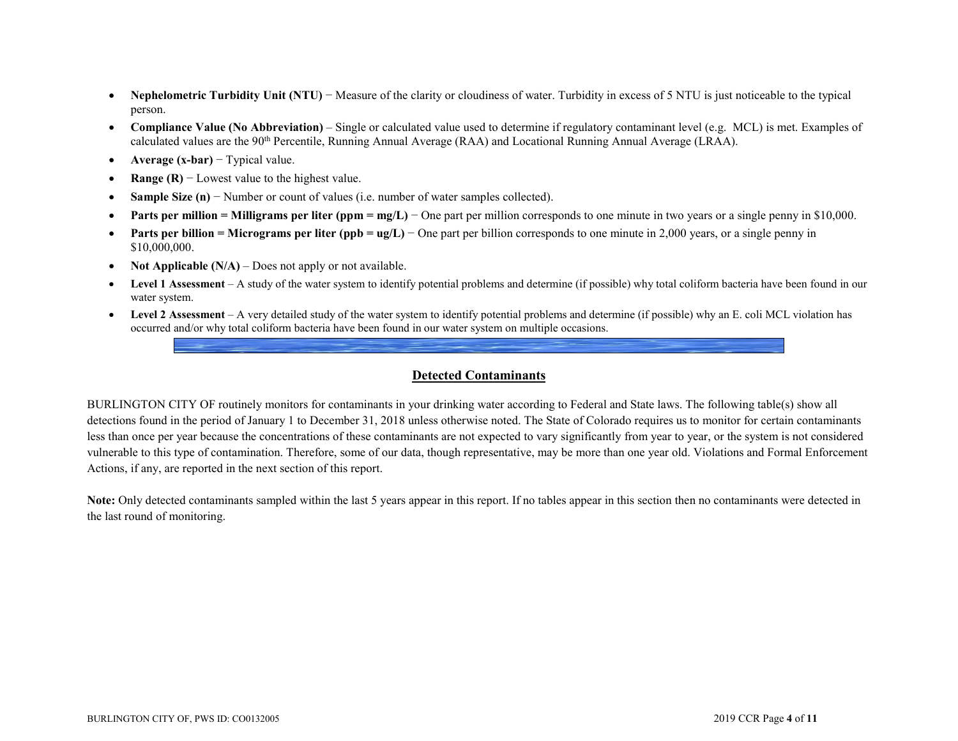- **Nephelometric Turbidity Unit (NTU)** − Measure of the clarity or cloudiness of water. Turbidity in excess of 5 NTU is just noticeable to the typical person.
- **Compliance Value (No Abbreviation)** Single or calculated value used to determine if regulatory contaminant level (e.g. MCL) is met. Examples of calculated values are the 90<sup>th</sup> Percentile, Running Annual Average (RAA) and Locational Running Annual Average (LRAA).
- **Average (x-bar)** − Typical value.
- **Range (R)**  $-$  Lowest value to the highest value.
- **Sample Size (n)** − Number or count of values (i.e. number of water samples collected).
- **Parts per million = Milligrams per liter (ppm = mg/L)** − One part per million corresponds to one minute in two years or a single penny in \$10,000.
- **Parts per billion = Micrograms per liter (ppb = ug/L)** − One part per billion corresponds to one minute in 2,000 years, or a single penny in \$10,000,000.
- **Not Applicable (N/A)** Does not apply or not available.
- **Level 1 Assessment** A study of the water system to identify potential problems and determine (if possible) why total coliform bacteria have been found in our water system.
- **Level 2 Assessment** A very detailed study of the water system to identify potential problems and determine (if possible) why an E. coli MCL violation has occurred and/or why total coliform bacteria have been found in our water system on multiple occasions.

#### **Detected Contaminants**

BURLINGTON CITY OF routinely monitors for contaminants in your drinking water according to Federal and State laws. The following table(s) show all detections found in the period of January 1 to December 31, 2018 unless otherwise noted. The State of Colorado requires us to monitor for certain contaminants less than once per year because the concentrations of these contaminants are not expected to vary significantly from year to year, or the system is not considered vulnerable to this type of contamination. Therefore, some of our data, though representative, may be more than one year old. Violations and Formal Enforcement Actions, if any, are reported in the next section of this report.

**Note:** Only detected contaminants sampled within the last 5 years appear in this report. If no tables appear in this section then no contaminants were detected in the last round of monitoring.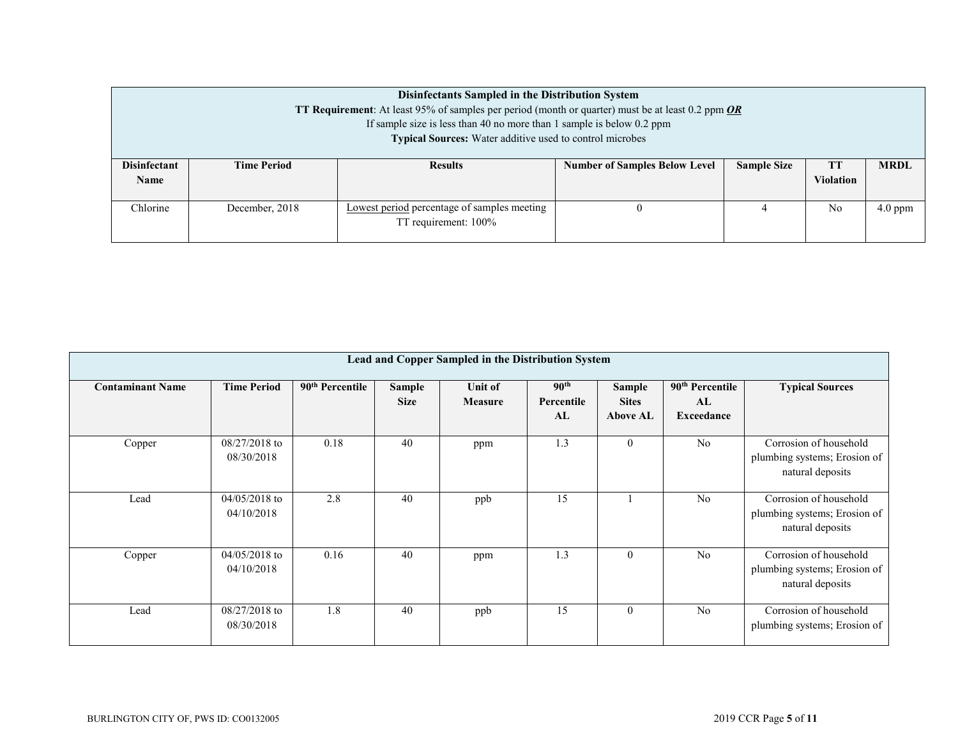|                                                                                                                      | Disinfectants Sampled in the Distribution System<br><b>TT Requirement:</b> At least 95% of samples per period (month or quarter) must be at least 0.2 ppm <i>OR</i><br>If sample size is less than 40 no more than 1 sample is below 0.2 ppm |                |                                      |                    |                        |             |  |  |  |  |  |
|----------------------------------------------------------------------------------------------------------------------|----------------------------------------------------------------------------------------------------------------------------------------------------------------------------------------------------------------------------------------------|----------------|--------------------------------------|--------------------|------------------------|-------------|--|--|--|--|--|
|                                                                                                                      | <b>Typical Sources:</b> Water additive used to control microbes                                                                                                                                                                              |                |                                      |                    |                        |             |  |  |  |  |  |
| <b>Disinfectant</b><br><b>Name</b>                                                                                   | <b>Time Period</b>                                                                                                                                                                                                                           | <b>Results</b> | <b>Number of Samples Below Level</b> | <b>Sample Size</b> | TT<br><b>Violation</b> | <b>MRDL</b> |  |  |  |  |  |
| Chlorine<br>December, 2018<br>No<br>$4.0$ ppm<br>Lowest period percentage of samples meeting<br>TT requirement: 100% |                                                                                                                                                                                                                                              |                |                                      |                    |                        |             |  |  |  |  |  |

| Lead and Copper Sampled in the Distribution System |                               |                             |                              |                           |                                      |                                                  |                                                 |                                                                            |  |  |  |
|----------------------------------------------------|-------------------------------|-----------------------------|------------------------------|---------------------------|--------------------------------------|--------------------------------------------------|-------------------------------------------------|----------------------------------------------------------------------------|--|--|--|
| <b>Contaminant Name</b>                            | <b>Time Period</b>            | 90 <sup>th</sup> Percentile | <b>Sample</b><br><b>Size</b> | Unit of<br><b>Measure</b> | 90 <sup>th</sup><br>Percentile<br>AL | <b>Sample</b><br><b>Sites</b><br><b>Above AL</b> | 90 <sup>th</sup> Percentile<br>AL<br>Exceedance | <b>Typical Sources</b>                                                     |  |  |  |
| Copper                                             | $08/27/2018$ to<br>08/30/2018 | 0.18                        | 40                           | ppm                       | 1.3                                  | $\theta$                                         | N <sub>o</sub>                                  | Corrosion of household<br>plumbing systems; Erosion of<br>natural deposits |  |  |  |
| Lead                                               | $04/05/2018$ to<br>04/10/2018 | 2.8                         | 40                           | ppb                       | 15                                   |                                                  | No                                              | Corrosion of household<br>plumbing systems; Erosion of<br>natural deposits |  |  |  |
| Copper                                             | $04/05/2018$ to<br>04/10/2018 | 0.16                        | 40                           | ppm                       | 1.3                                  | $\theta$                                         | No                                              | Corrosion of household<br>plumbing systems; Erosion of<br>natural deposits |  |  |  |
| Lead                                               | $08/27/2018$ to<br>08/30/2018 | 1.8                         | 40                           | ppb                       | 15                                   | $\theta$                                         | N <sub>o</sub>                                  | Corrosion of household<br>plumbing systems; Erosion of                     |  |  |  |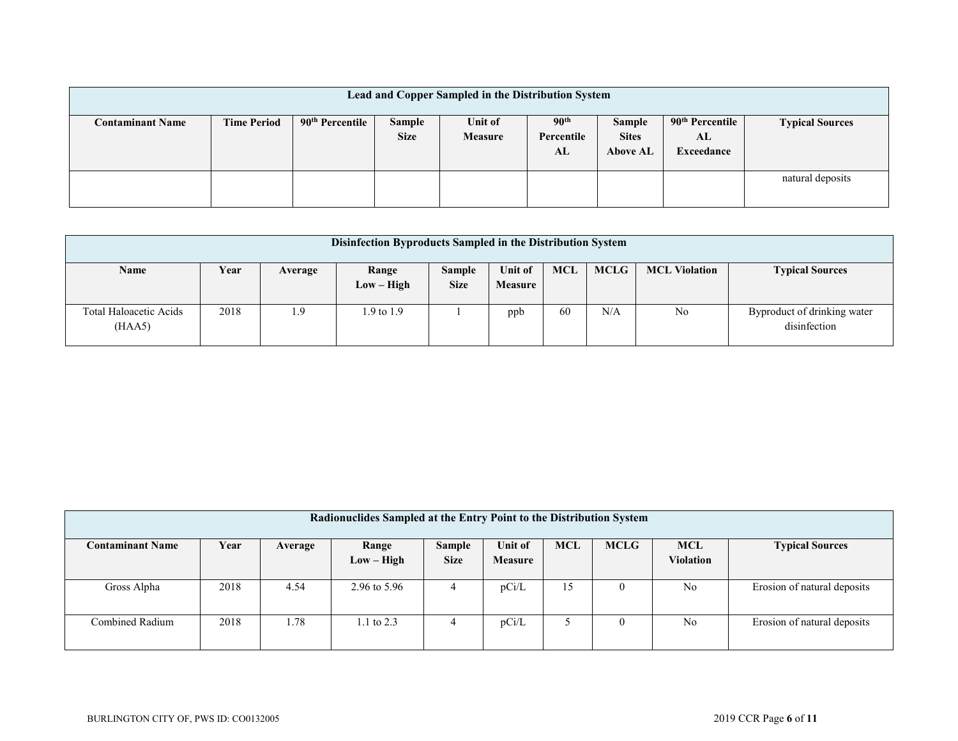| Lead and Copper Sampled in the Distribution System |                    |                             |                       |                    |                                      |                                           |                                                 |                        |  |  |  |
|----------------------------------------------------|--------------------|-----------------------------|-----------------------|--------------------|--------------------------------------|-------------------------------------------|-------------------------------------------------|------------------------|--|--|--|
| <b>Contaminant Name</b>                            | <b>Time Period</b> | 90 <sup>th</sup> Percentile | Sample<br><b>Size</b> | Unit of<br>Measure | 90 <sup>th</sup><br>Percentile<br>AL | Sample<br><b>Sites</b><br><b>Above AL</b> | 90 <sup>th</sup> Percentile<br>AL<br>Exceedance | <b>Typical Sources</b> |  |  |  |
|                                                    |                    |                             |                       |                    |                                      |                                           |                                                 | natural deposits       |  |  |  |

| Disinfection Byproducts Sampled in the Distribution System |      |         |                       |                              |                           |            |             |                      |                                             |  |
|------------------------------------------------------------|------|---------|-----------------------|------------------------------|---------------------------|------------|-------------|----------------------|---------------------------------------------|--|
| Name                                                       | Year | Average | Range<br>$Low - High$ | <b>Sample</b><br><b>Size</b> | Unit of<br><b>Measure</b> | <b>MCL</b> | <b>MCLG</b> | <b>MCL Violation</b> | <b>Typical Sources</b>                      |  |
| Total Haloacetic Acids<br>(HAA5)                           | 2018 | 1.9     | $1.9$ to $1.9$        |                              | ppb                       | 60         | N/A         | No                   | Byproduct of drinking water<br>disinfection |  |

| Radionuclides Sampled at the Entry Point to the Distribution System |      |         |                         |               |                |            |             |                  |                             |  |  |
|---------------------------------------------------------------------|------|---------|-------------------------|---------------|----------------|------------|-------------|------------------|-----------------------------|--|--|
| <b>Contaminant Name</b>                                             | Year | Average | Range                   | <b>Sample</b> | <b>Unit of</b> | <b>MCL</b> | <b>MCLG</b> | <b>MCL</b>       | <b>Typical Sources</b>      |  |  |
|                                                                     |      |         | $Low - High$            | <b>Size</b>   | <b>Measure</b> |            |             | <b>Violation</b> |                             |  |  |
| Gross Alpha                                                         | 2018 | 4.54    | $2.96 \text{ to } 5.96$ | 4             | pCi/L          | 15         | $\theta$    | N <sub>o</sub>   | Erosion of natural deposits |  |  |
| Combined Radium                                                     | 2018 | 1.78    | 1.1 to $2.3$            |               | pCi/L          |            | $\theta$    | N <sub>o</sub>   | Erosion of natural deposits |  |  |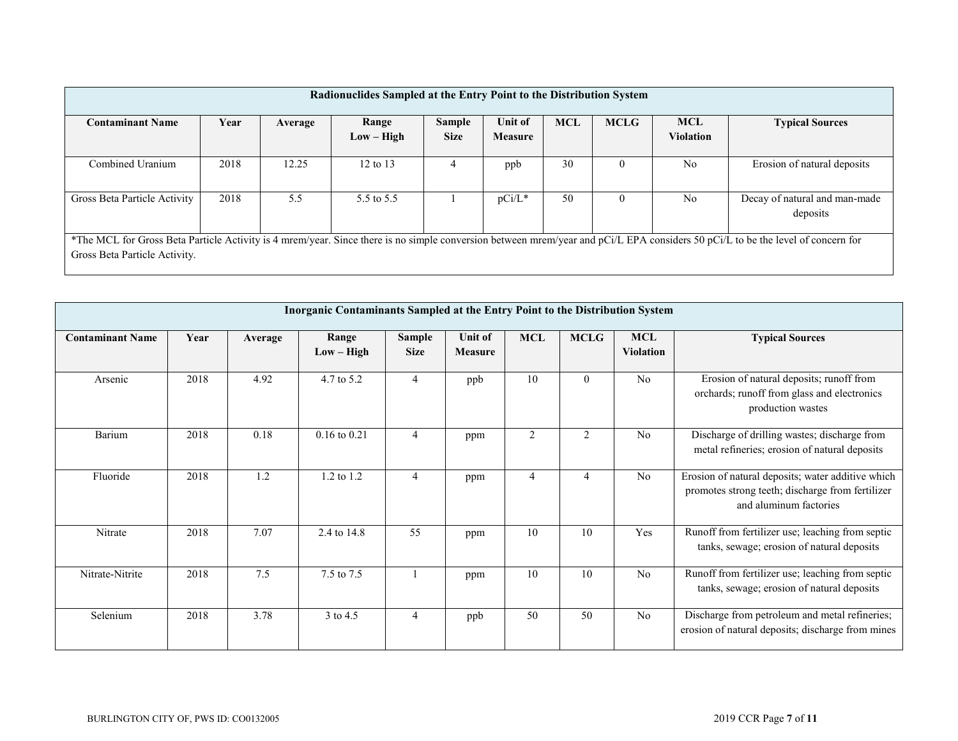| Radionuclides Sampled at the Entry Point to the Distribution System |      |         |                       |                              |                                  |            |             |                                |                                                                                                                                                                                 |  |  |
|---------------------------------------------------------------------|------|---------|-----------------------|------------------------------|----------------------------------|------------|-------------|--------------------------------|---------------------------------------------------------------------------------------------------------------------------------------------------------------------------------|--|--|
| <b>Contaminant Name</b>                                             | Year | Average | Range<br>$Low - High$ | <b>Sample</b><br><b>Size</b> | <b>Unit of</b><br><b>Measure</b> | <b>MCL</b> | <b>MCLG</b> | <b>MCL</b><br><b>Violation</b> | <b>Typical Sources</b>                                                                                                                                                          |  |  |
| Combined Uranium                                                    | 2018 | 12.25   | 12 to $13$            |                              | ppb                              | 30         | $\theta$    | N <sub>0</sub>                 | Erosion of natural deposits                                                                                                                                                     |  |  |
| Gross Beta Particle Activity                                        | 2018 | 5.5     | 5.5 to 5.5            |                              | $pCi/L^*$                        | 50         | $\theta$    | No                             | Decay of natural and man-made<br>deposits                                                                                                                                       |  |  |
| Gross Beta Particle Activity.                                       |      |         |                       |                              |                                  |            |             |                                | *The MCL for Gross Beta Particle Activity is 4 mrem/year. Since there is no simple conversion between mrem/year and pCi/L EPA considers 50 pCi/L to be the level of concern for |  |  |

|                         | Inorganic Contaminants Sampled at the Entry Point to the Distribution System |         |                       |                       |                           |                |             |                                |                                                                                                                                 |  |  |  |  |
|-------------------------|------------------------------------------------------------------------------|---------|-----------------------|-----------------------|---------------------------|----------------|-------------|--------------------------------|---------------------------------------------------------------------------------------------------------------------------------|--|--|--|--|
| <b>Contaminant Name</b> | Year                                                                         | Average | Range<br>$Low - High$ | Sample<br><b>Size</b> | Unit of<br><b>Measure</b> | <b>MCL</b>     | <b>MCLG</b> | <b>MCL</b><br><b>Violation</b> | <b>Typical Sources</b>                                                                                                          |  |  |  |  |
| Arsenic                 | 2018                                                                         | 4.92    | 4.7 to 5.2            | 4                     | ppb                       | 10             | $\Omega$    | N <sub>o</sub>                 | Erosion of natural deposits; runoff from<br>orchards; runoff from glass and electronics<br>production wastes                    |  |  |  |  |
| Barium                  | 2018                                                                         | 0.18    | $0.16$ to $0.21$      | $\overline{4}$        | ppm                       | $\overline{2}$ | 2           | N <sub>o</sub>                 | Discharge of drilling wastes; discharge from<br>metal refineries; erosion of natural deposits                                   |  |  |  |  |
| Fluoride                | 2018                                                                         | 1.2     | 1.2 to 1.2            | $\overline{4}$        | ppm                       | 4              |             | N <sub>o</sub>                 | Erosion of natural deposits; water additive which<br>promotes strong teeth; discharge from fertilizer<br>and aluminum factories |  |  |  |  |
| Nitrate                 | 2018                                                                         | 7.07    | 2.4 to 14.8           | 55                    | ppm                       | 10             | 10          | Yes                            | Runoff from fertilizer use; leaching from septic<br>tanks, sewage; erosion of natural deposits                                  |  |  |  |  |
| Nitrate-Nitrite         | 2018                                                                         | 7.5     | 7.5 to 7.5            |                       | ppm                       | 10             | 10          | N <sub>o</sub>                 | Runoff from fertilizer use; leaching from septic<br>tanks, sewage; erosion of natural deposits                                  |  |  |  |  |
| Selenium                | 2018                                                                         | 3.78    | 3 to 4.5              | 4                     | ppb                       | 50             | 50          | No                             | Discharge from petroleum and metal refineries;<br>erosion of natural deposits; discharge from mines                             |  |  |  |  |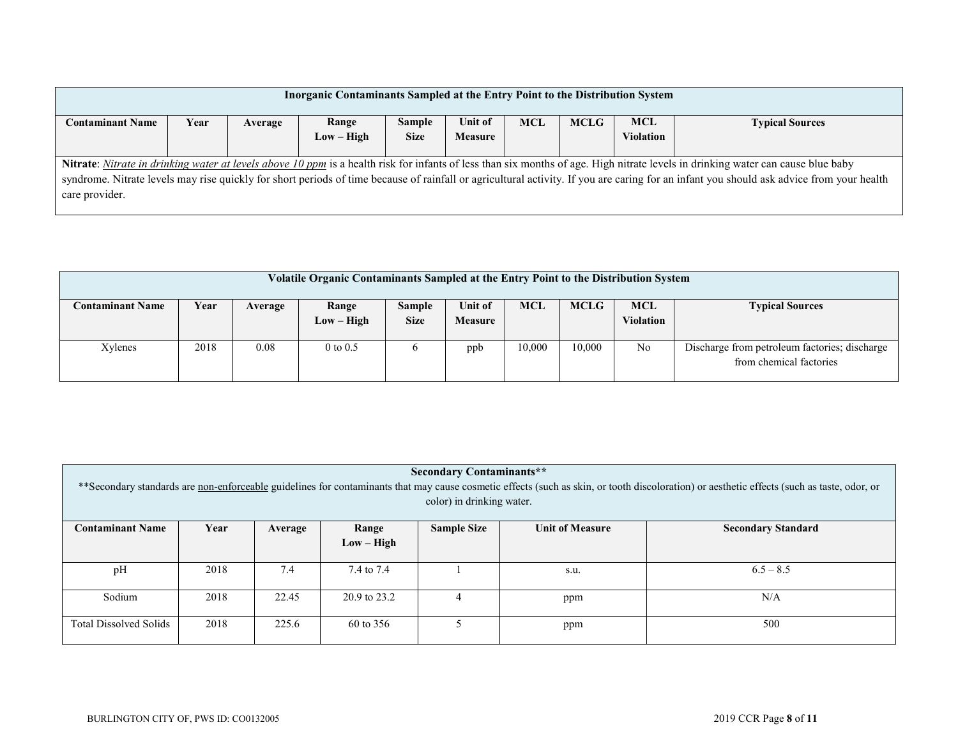| Inorganic Contaminants Sampled at the Entry Point to the Distribution System                                                                                                             |      |         |       |               |         |            |             |            |                                                                                                                                                                                  |  |  |
|------------------------------------------------------------------------------------------------------------------------------------------------------------------------------------------|------|---------|-------|---------------|---------|------------|-------------|------------|----------------------------------------------------------------------------------------------------------------------------------------------------------------------------------|--|--|
| <b>Contaminant Name</b>                                                                                                                                                                  | Year | Average | Range | <b>Sample</b> | Unit of | <b>MCL</b> | <b>MCLG</b> | <b>MCL</b> | <b>Typical Sources</b>                                                                                                                                                           |  |  |
| <b>Size</b><br><b>Violation</b><br>$Low - High$<br><b>Measure</b>                                                                                                                        |      |         |       |               |         |            |             |            |                                                                                                                                                                                  |  |  |
|                                                                                                                                                                                          |      |         |       |               |         |            |             |            |                                                                                                                                                                                  |  |  |
|                                                                                                                                                                                          |      |         |       |               |         |            |             |            | Nitrate: Nitrate in drinking water at levels above 10 ppm is a health risk for infants of less than six months of age. High nitrate levels in drinking water can cause blue baby |  |  |
| syndrome. Nitrate levels may rise quickly for short periods of time because of rainfall or agricultural activity. If you are caring for an infant you should ask advice from your health |      |         |       |               |         |            |             |            |                                                                                                                                                                                  |  |  |
| care provider.                                                                                                                                                                           |      |         |       |               |         |            |             |            |                                                                                                                                                                                  |  |  |
|                                                                                                                                                                                          |      |         |       |               |         |            |             |            |                                                                                                                                                                                  |  |  |

| <b>Volatile Organic Contaminants Sampled at the Entry Point to the Distribution System</b> |      |         |                       |                       |                                  |            |             |                         |                                                                          |  |  |
|--------------------------------------------------------------------------------------------|------|---------|-----------------------|-----------------------|----------------------------------|------------|-------------|-------------------------|--------------------------------------------------------------------------|--|--|
| <b>Contaminant Name</b>                                                                    | Year | Average | Range<br>$Low - High$ | Sample<br><b>Size</b> | <b>Unit of</b><br><b>Measure</b> | <b>MCL</b> | <b>MCLG</b> | <b>MCL</b><br>Violation | <b>Typical Sources</b>                                                   |  |  |
| Xylenes                                                                                    | 2018 | 0.08    | $0$ to $0.5$          | $\mathbf{p}$          | ppb                              | 10,000     | 10,000      | N <sub>o</sub>          | Discharge from petroleum factories; discharge<br>from chemical factories |  |  |

| <b>Secondary Contaminants**</b><br>** Secondary standards are non-enforceable guidelines for contaminants that may cause cosmetic effects (such as skin, or tooth discoloration) or aesthetic effects (such as taste, odor, or<br>color) in drinking water. |              |         |            |                    |                        |                           |  |  |  |  |  |
|-------------------------------------------------------------------------------------------------------------------------------------------------------------------------------------------------------------------------------------------------------------|--------------|---------|------------|--------------------|------------------------|---------------------------|--|--|--|--|--|
| <b>Contaminant Name</b>                                                                                                                                                                                                                                     | Year         | Average | Range      | <b>Sample Size</b> | <b>Unit of Measure</b> | <b>Secondary Standard</b> |  |  |  |  |  |
|                                                                                                                                                                                                                                                             | $Low - High$ |         |            |                    |                        |                           |  |  |  |  |  |
| pH                                                                                                                                                                                                                                                          | 2018         | 7.4     | 7.4 to 7.4 |                    | s.u.                   | $6.5 - 8.5$               |  |  |  |  |  |
| Sodium<br>2018<br>22.45<br>20.9 to 23.2<br>N/A<br>ppm                                                                                                                                                                                                       |              |         |            |                    |                        |                           |  |  |  |  |  |
| <b>Total Dissolved Solids</b>                                                                                                                                                                                                                               | 2018         | 225.6   | 60 to 356  |                    | ppm                    | 500                       |  |  |  |  |  |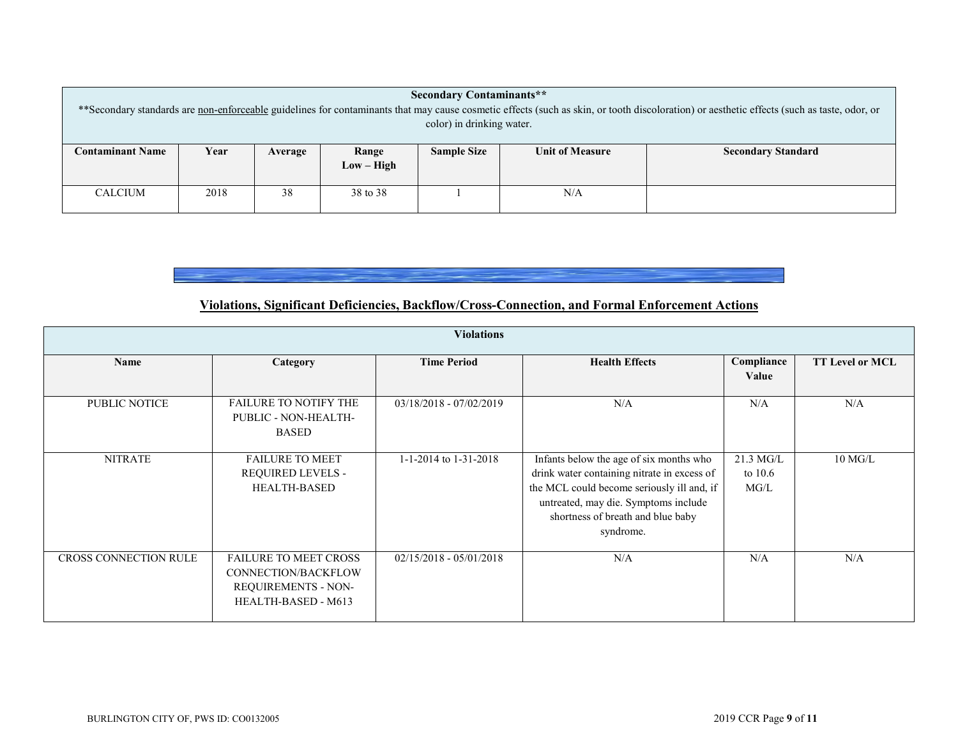|                                                                                                                                                                                             | <b>Secondary Contaminants**</b> |         |              |                    |                        |                           |  |  |  |  |  |
|---------------------------------------------------------------------------------------------------------------------------------------------------------------------------------------------|---------------------------------|---------|--------------|--------------------|------------------------|---------------------------|--|--|--|--|--|
| ** Secondary standards are non-enforceable guidelines for contaminants that may cause cosmetic effects (such as skin, or tooth discoloration) or aesthetic effects (such as taste, odor, or |                                 |         |              |                    |                        |                           |  |  |  |  |  |
| color) in drinking water.                                                                                                                                                                   |                                 |         |              |                    |                        |                           |  |  |  |  |  |
|                                                                                                                                                                                             |                                 |         |              |                    |                        |                           |  |  |  |  |  |
| <b>Contaminant Name</b>                                                                                                                                                                     | Year                            | Average | Range        | <b>Sample Size</b> | <b>Unit of Measure</b> | <b>Secondary Standard</b> |  |  |  |  |  |
|                                                                                                                                                                                             |                                 |         | $Low - High$ |                    |                        |                           |  |  |  |  |  |
|                                                                                                                                                                                             |                                 |         |              |                    |                        |                           |  |  |  |  |  |
| <b>CALCIUM</b>                                                                                                                                                                              | 2018                            | 38      | 38 to 38     |                    | N/A                    |                           |  |  |  |  |  |
|                                                                                                                                                                                             |                                 |         |              |                    |                        |                           |  |  |  |  |  |

# **Violations, Significant Deficiencies, Backflow/Cross-Connection, and Formal Enforcement Actions**

| <b>Violations</b>            |                                                                                                   |                           |                                                                                                                                                                                                                                |                                |                        |  |  |
|------------------------------|---------------------------------------------------------------------------------------------------|---------------------------|--------------------------------------------------------------------------------------------------------------------------------------------------------------------------------------------------------------------------------|--------------------------------|------------------------|--|--|
| Name                         | Category                                                                                          | <b>Time Period</b>        | <b>Health Effects</b>                                                                                                                                                                                                          | Compliance<br>Value            | <b>TT Level or MCL</b> |  |  |
| PUBLIC NOTICE                | <b>FAILURE TO NOTIFY THE</b><br>PUBLIC - NON-HEALTH-<br><b>BASED</b>                              | $03/18/2018 - 07/02/2019$ | N/A                                                                                                                                                                                                                            | N/A                            | N/A                    |  |  |
| <b>NITRATE</b>               | <b>FAILURE TO MEET</b><br>REQUIRED LEVELS -<br><b>HEALTH-BASED</b>                                | 1-1-2014 to $1-31-2018$   | Infants below the age of six months who<br>drink water containing nitrate in excess of<br>the MCL could become seriously ill and, if<br>untreated, may die. Symptoms include<br>shortness of breath and blue baby<br>syndrome. | $21.3$ MG/L<br>to 10.6<br>MG/L | $10$ MG/L              |  |  |
| <b>CROSS CONNECTION RULE</b> | <b>FAILURE TO MEET CROSS</b><br>CONNECTION/BACKFLOW<br>REQUIREMENTS - NON-<br>HEALTH-BASED - M613 | $02/15/2018 - 05/01/2018$ | N/A                                                                                                                                                                                                                            | N/A                            | N/A                    |  |  |